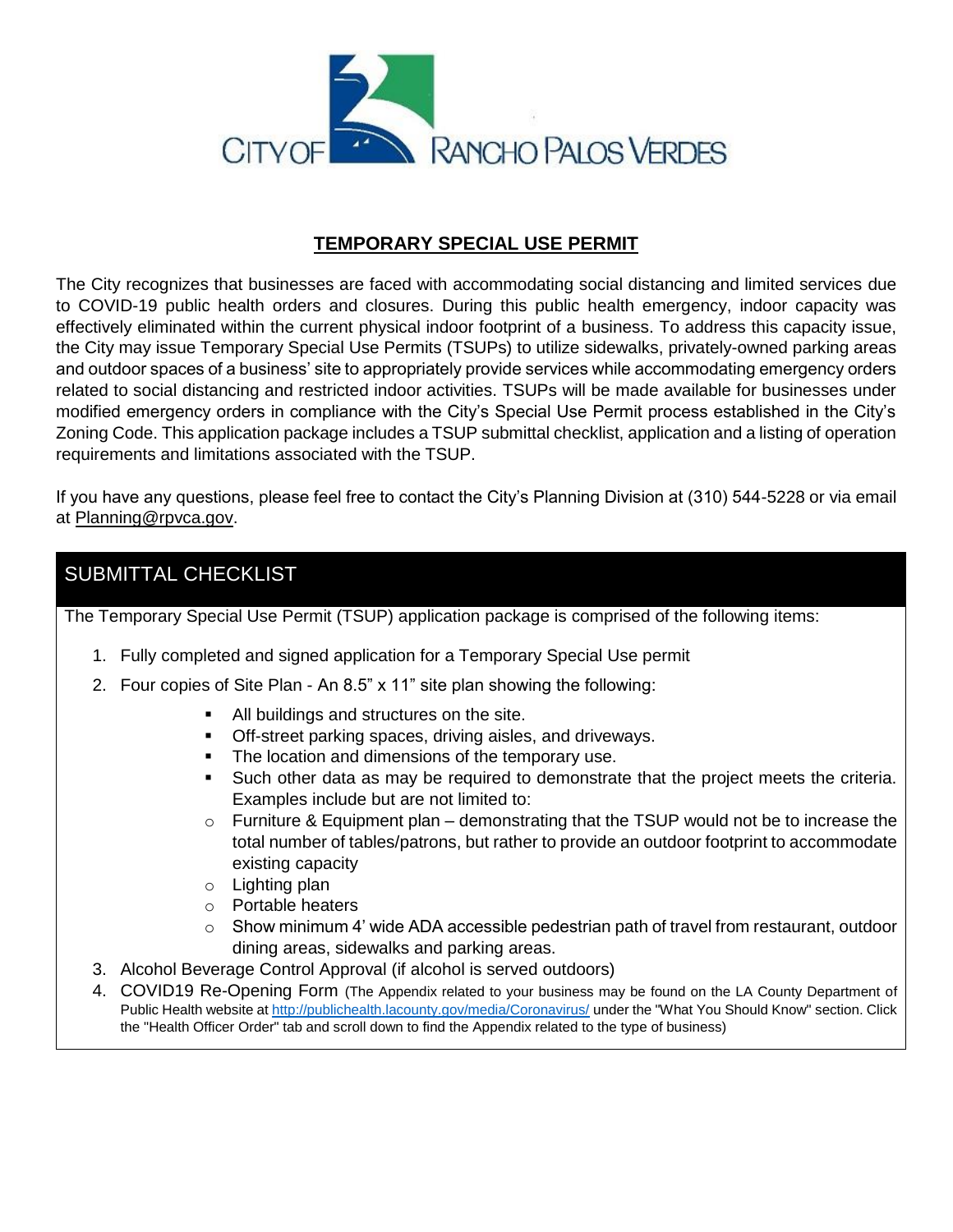

## **TEMPORARY SPECIAL USE PERMIT**

The City recognizes that businesses are faced with accommodating social distancing and limited services due to COVID-19 public health orders and closures. During this public health emergency, indoor capacity was effectively eliminated within the current physical indoor footprint of a business. To address this capacity issue, the City may issue Temporary Special Use Permits (TSUPs) to utilize sidewalks, privately-owned parking areas and outdoor spaces of a business' site to appropriately provide services while accommodating emergency orders related to social distancing and restricted indoor activities. TSUPs will be made available for businesses under modified emergency orders in compliance with the City's Special Use Permit process established in the City's Zoning Code. This application package includes a TSUP submittal checklist, application and a listing of operation requirements and limitations associated with the TSUP.

If you have any questions, please feel free to contact the City's Planning Division at (310) 544-5228 or via email at [Planning@rpvca.gov.](mailto:Planning@rpvca.gov)

## SUBMITTAL CHECKLIST

The Temporary Special Use Permit (TSUP) application package is comprised of the following items:

- 1. Fully completed and signed application for a Temporary Special Use permit
- 2. Four copies of Site Plan An 8.5" x 11" site plan showing the following:
	- All buildings and structures on the site.
	- **Off-street parking spaces, driving aisles, and driveways.**
	- The location and dimensions of the temporary use.
	- Such other data as may be required to demonstrate that the project meets the criteria. Examples include but are not limited to:
	- $\circ$  Furniture & Equipment plan demonstrating that the TSUP would not be to increase the total number of tables/patrons, but rather to provide an outdoor footprint to accommodate existing capacity
	- o Lighting plan
	- o Portable heaters
	- $\circ$  Show minimum 4' wide ADA accessible pedestrian path of travel from restaurant, outdoor dining areas, sidewalks and parking areas.
- 3. Alcohol Beverage Control Approval (if alcohol is served outdoors)
- 4. COVID19 Re-Opening Form (The Appendix related to your business may be found on the LA County Department of Public Health website at<http://publichealth.lacounty.gov/media/Coronavirus/> under the "What You Should Know" section. Click the "Health Officer Order" tab and scroll down to find the Appendix related to the type of business)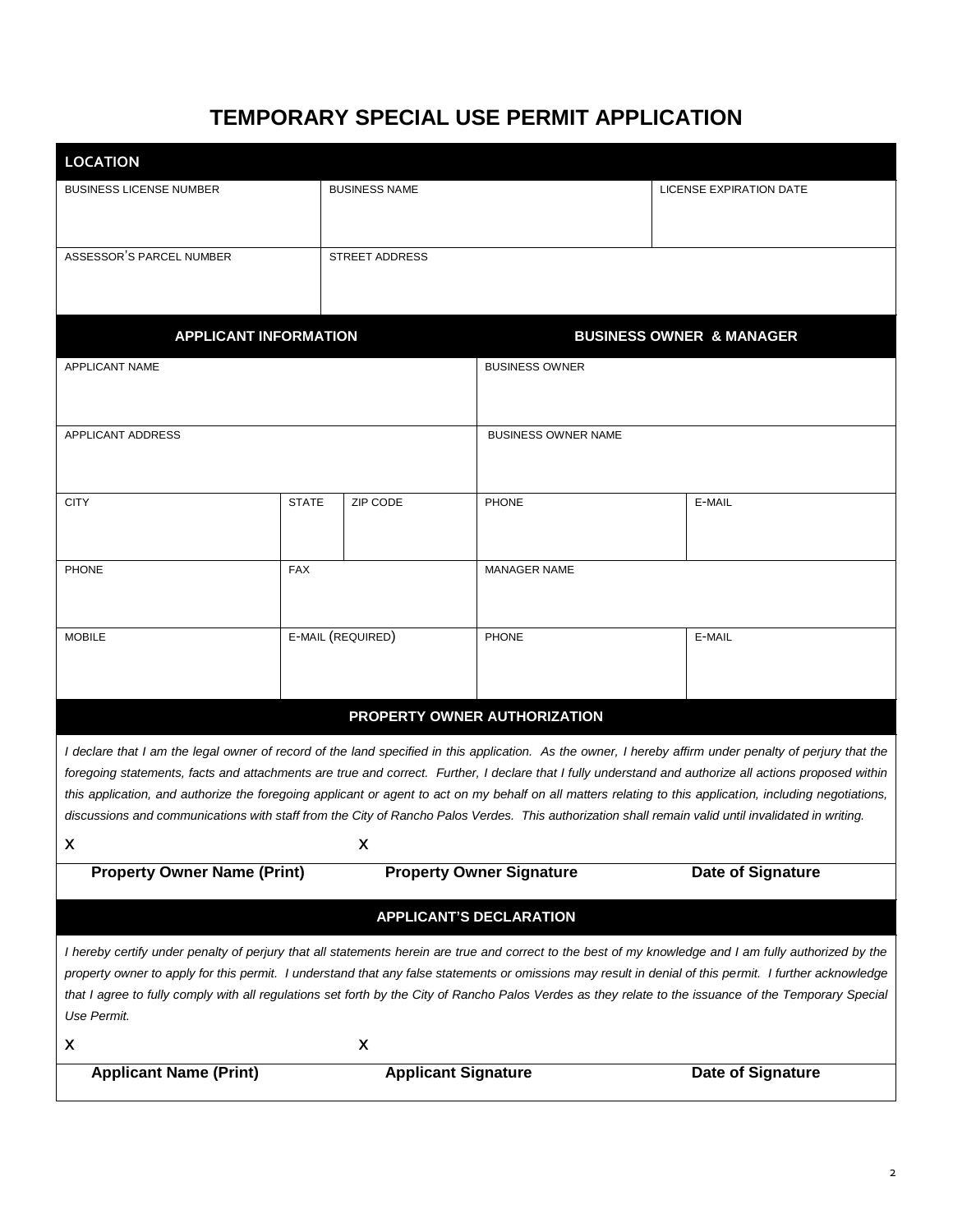## **TEMPORARY SPECIAL USE PERMIT APPLICATION**

| <b>LOCATION</b>                                                                                                                                                                                                                                                                                                                                                                                                                                                                                                                                                                                                                                  |                   |                       |                            |                                                                                                                                                                                                                                                                                                                                                                                                                                                                             |
|--------------------------------------------------------------------------------------------------------------------------------------------------------------------------------------------------------------------------------------------------------------------------------------------------------------------------------------------------------------------------------------------------------------------------------------------------------------------------------------------------------------------------------------------------------------------------------------------------------------------------------------------------|-------------------|-----------------------|----------------------------|-----------------------------------------------------------------------------------------------------------------------------------------------------------------------------------------------------------------------------------------------------------------------------------------------------------------------------------------------------------------------------------------------------------------------------------------------------------------------------|
| <b>BUSINESS LICENSE NUMBER</b>                                                                                                                                                                                                                                                                                                                                                                                                                                                                                                                                                                                                                   |                   | <b>BUSINESS NAME</b>  |                            | LICENSE EXPIRATION DATE                                                                                                                                                                                                                                                                                                                                                                                                                                                     |
| ASSESSOR'S PARCEL NUMBER                                                                                                                                                                                                                                                                                                                                                                                                                                                                                                                                                                                                                         |                   | <b>STREET ADDRESS</b> |                            |                                                                                                                                                                                                                                                                                                                                                                                                                                                                             |
| <b>APPLICANT INFORMATION</b><br><b>BUSINESS OWNER &amp; MANAGER</b>                                                                                                                                                                                                                                                                                                                                                                                                                                                                                                                                                                              |                   |                       |                            |                                                                                                                                                                                                                                                                                                                                                                                                                                                                             |
| APPLICANT NAME                                                                                                                                                                                                                                                                                                                                                                                                                                                                                                                                                                                                                                   |                   |                       | <b>BUSINESS OWNER</b>      |                                                                                                                                                                                                                                                                                                                                                                                                                                                                             |
| APPLICANT ADDRESS                                                                                                                                                                                                                                                                                                                                                                                                                                                                                                                                                                                                                                |                   |                       | <b>BUSINESS OWNER NAME</b> |                                                                                                                                                                                                                                                                                                                                                                                                                                                                             |
| <b>CITY</b>                                                                                                                                                                                                                                                                                                                                                                                                                                                                                                                                                                                                                                      | <b>STATE</b>      | ZIP CODE              | <b>PHONE</b>               | E-MAIL                                                                                                                                                                                                                                                                                                                                                                                                                                                                      |
| <b>PHONE</b>                                                                                                                                                                                                                                                                                                                                                                                                                                                                                                                                                                                                                                     | <b>FAX</b>        |                       | MANAGER NAME               |                                                                                                                                                                                                                                                                                                                                                                                                                                                                             |
| <b>MOBILE</b>                                                                                                                                                                                                                                                                                                                                                                                                                                                                                                                                                                                                                                    | E-MAIL (REQUIRED) |                       | <b>PHONE</b>               | E-MAIL                                                                                                                                                                                                                                                                                                                                                                                                                                                                      |
| PROPERTY OWNER AUTHORIZATION                                                                                                                                                                                                                                                                                                                                                                                                                                                                                                                                                                                                                     |                   |                       |                            |                                                                                                                                                                                                                                                                                                                                                                                                                                                                             |
| I declare that I am the legal owner of record of the land specified in this application. As the owner, I hereby affirm under penalty of perjury that the<br>foregoing statements, facts and attachments are true and correct. Further, I declare that I fully understand and authorize all actions proposed within<br>this application, and authorize the foregoing applicant or agent to act on my behalf on all matters relating to this application, including negotiations,<br>discussions and communications with staff from the City of Rancho Palos Verdes. This authorization shall remain valid until invalidated in writing.<br>X<br>X |                   |                       |                            |                                                                                                                                                                                                                                                                                                                                                                                                                                                                             |
| <b>Property Owner Name (Print)</b><br><b>Property Owner Signature</b><br>Date of Signature                                                                                                                                                                                                                                                                                                                                                                                                                                                                                                                                                       |                   |                       |                            |                                                                                                                                                                                                                                                                                                                                                                                                                                                                             |
| <b>APPLICANT'S DECLARATION</b>                                                                                                                                                                                                                                                                                                                                                                                                                                                                                                                                                                                                                   |                   |                       |                            |                                                                                                                                                                                                                                                                                                                                                                                                                                                                             |
| Use Permit.<br>X                                                                                                                                                                                                                                                                                                                                                                                                                                                                                                                                                                                                                                 |                   | X                     |                            | I hereby certify under penalty of perjury that all statements herein are true and correct to the best of my knowledge and I am fully authorized by the<br>property owner to apply for this permit. I understand that any false statements or omissions may result in denial of this permit. I further acknowledge<br>that I agree to fully comply with all regulations set forth by the City of Rancho Palos Verdes as they relate to the issuance of the Temporary Special |
| <b>Applicant Name (Print)</b><br><b>Applicant Signature</b><br>Date of Signature                                                                                                                                                                                                                                                                                                                                                                                                                                                                                                                                                                 |                   |                       |                            |                                                                                                                                                                                                                                                                                                                                                                                                                                                                             |